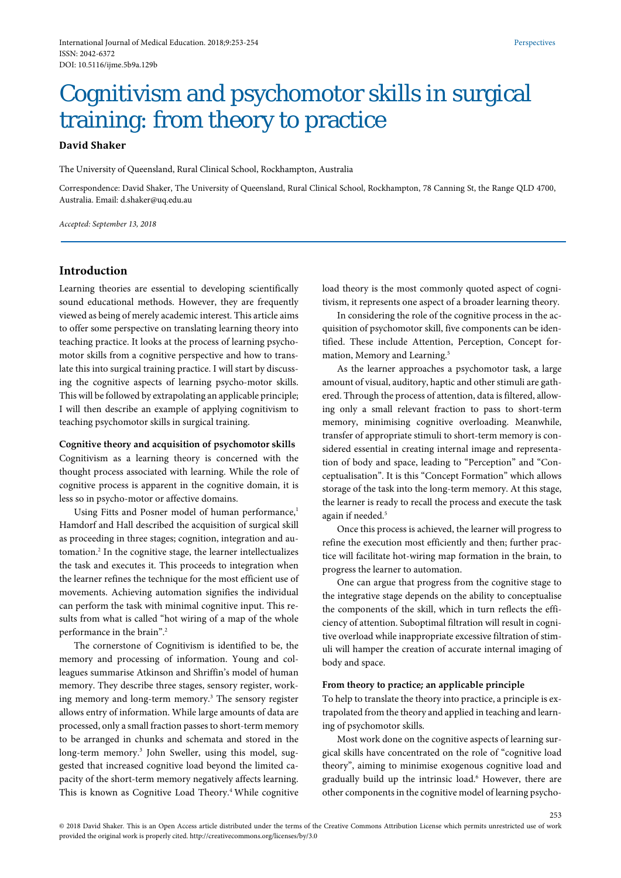# Cognitivism and psychomotor skills in surgical training: from theory to practice

# **David Shaker**

The University of Queensland, Rural Clinical School, Rockhampton, Australia

Correspondence: David Shaker, The University of Queensland, Rural Clinical School, Rockhampton, 78 Canning St, the Range QLD 4700, Australia. Email[: d.shaker@uq.edu.au](mailto:d.shaker@uq.edu.au)

*Accepted: September 13, 2018*

# **Introduction**

Learning theories are essential to developing scientifically sound educational methods. However, they are frequently viewed as being of merely academic interest. This article aims to offer some perspective on translating learning theory into teaching practice. It looks at the process of learning psychomotor skills from a cognitive perspective and how to translate this into surgical training practice. I will start by discussing the cognitive aspects of learning psycho-motor skills. This will be followed by extrapolating an applicable principle; I will then describe an example of applying cognitivism to teaching psychomotor skills in surgical training.

#### **Cognitive theory and acquisition of psychomotor skills**

Cognitivism as a learning theory is concerned with the thought process associated with learning. While the role of cognitive process is apparent in the cognitive domain, it is less so in psycho-motor or affective domains.

Using Fitts and Posner model of human performance,<sup>1</sup> Hamdorf and Hall described the acquisition of surgical skill as proceeding in three stages; cognition, integration and automation.2 In the cognitive stage, the learner intellectualizes the task and executes it. This proceeds to integration when the learner refines the technique for the most efficient use of movements. Achieving automation signifies the individual can perform the task with minimal cognitive input. This results from what is called "hot wiring of a map of the whole performance in the brain".<sup>2</sup>

The cornerstone of Cognitivism is identified to be, the memory and processing of information. Young and colleagues summarise Atkinson and Shriffin's model of human memory. They describe three stages, sensory register, working memory and long-term memory.3 The sensory register allows entry of information. While large amounts of data are processed, only a small fraction passes to short-term memory to be arranged in chunks and schemata and stored in the long-term memory.<sup>3</sup> John Sweller, using this model, suggested that increased cognitive load beyond the limited capacity of the short-term memory negatively affects learning. This is known as Cognitive Load Theory.<sup>4</sup> While cognitive

load theory is the most commonly quoted aspect of cognitivism, it represents one aspect of a broader learning theory.

In considering the role of the cognitive process in the acquisition of psychomotor skill, five components can be identified. These include Attention, Perception, Concept formation, Memory and Learning.<sup>5</sup>

As the learner approaches a psychomotor task, a large amount of visual, auditory, haptic and other stimuli are gathered. Through the process of attention, data is filtered, allowing only a small relevant fraction to pass to short-term memory, minimising cognitive overloading. Meanwhile, transfer of appropriate stimuli to short-term memory is considered essential in creating internal image and representation of body and space, leading to "Perception" and "Conceptualisation". It is this "Concept Formation" which allows storage of the task into the long-term memory. At this stage, the learner is ready to recall the process and execute the task again if needed.<sup>5</sup>

Once this process is achieved, the learner will progress to refine the execution most efficiently and then; further practice will facilitate hot-wiring map formation in the brain, to progress the learner to automation.

One can argue that progress from the cognitive stage to the integrative stage depends on the ability to conceptualise the components of the skill, which in turn reflects the efficiency of attention. Suboptimal filtration will result in cognitive overload while inappropriate excessive filtration of stimuli will hamper the creation of accurate internal imaging of body and space.

#### **From theory to practice; an applicable principle**

To help to translate the theory into practice, a principle is extrapolated from the theory and applied in teaching and learning of psychomotor skills.

Most work done on the cognitive aspects of learning surgical skills have concentrated on the role of "cognitive load theory", aiming to minimise exogenous cognitive load and gradually build up the intrinsic load.<sup>6</sup> However, there are other components in the cognitive model of learning psycho-

253